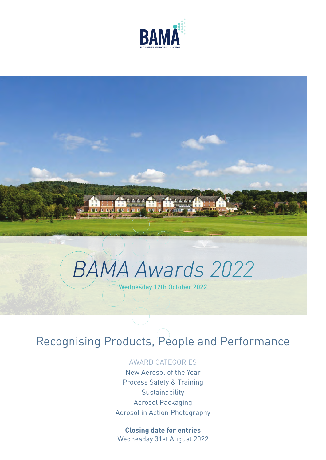



# *BAMA Awards 2022* Wednesday 12th October 2022

# Recognising Products, People and Performance

#### AWARD CATEGORIES

New Aerosol of the Year Process Safety & Training **Sustainability** Aerosol Packaging Aerosol in Action Photography

#### **Closing date for entries**

Wednesday 31st August 2022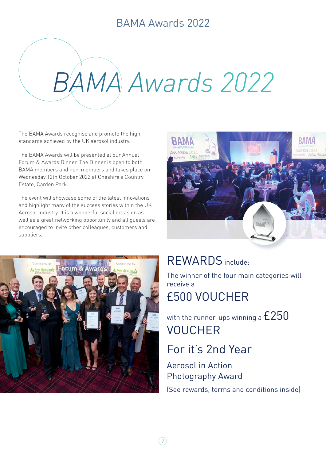# *BAMA Awards 2022*

The BAMA Awards recognise and promote the high standards achieved by the UK aerosol industry.

The BAMA Awards will be presented at our Annual Forum & Awards Dinner. The Dinner is open to both BAMA members and non-members and takes place on Wednesday 12th October 2022 at Cheshire's Country Estate, Carden Park.

The event will showcase some of the latest innovations and highlight many of the success stories within the UK Aerosol Industry. It is a wonderful social occasion as well as a great networking opportunity and all guests are encouraged to invite other colleagues, customers and suppliers.





### REWARDS include:

The winner of the four main categories will receive a £500 VOUCHER

with the runner-ups winning a  $E250$ VOUCHER

### For it's 2nd Year

Aerosol in Action Photography Award

(See rewards, terms and conditions inside)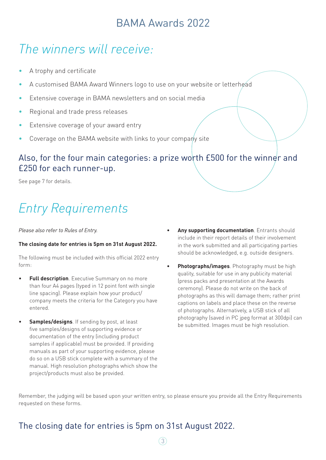# *The winners will receive:*

- A trophy and certificate
- A customised BAMA Award Winners logo to use on your website or letterhead
- Extensive coverage in BAMA newsletters and on social media
- Regional and trade press releases
- Extensive coverage of your award entry
- Coverage on the BAMA website with links to your company site

#### Also, for the four main categories: a prize worth £500 for the winner and £250 for each runner-up.

See page 7 for details.

# *Entry Requirements*

#### *Please also refer to Rules of Entry.*

#### **The closing date for entries is 5pm on 31st August 2022.**

The following must be included with this official 2022 entry form:

- **Full description**. Executive Summary on no more than four A4 pages (typed in 12 point font with single line spacing). Please explain how your product/ company meets the criteria for the Category you have entered.
- **Samples/designs**. If sending by post, at least five samples/designs of supporting evidence or documentation of the entry (including product samples if applicable) must be provided. If providing manuals as part of your supporting evidence, please do so on a USB stick complete with a summary of the manual. High resolution photographs which show the project/products must also be provided.
- **Any supporting documentation**. Entrants should include in their report details of their involvement in the work submitted and all participating parties should be acknowledged, e.g. outside designers.
- **Photographs/images**. Photography must be high quality, suitable for use in any publicity material (press packs and presentation at the Awards ceremony). Please do not write on the back of photographs as this will damage them; rather print captions on labels and place these on the reverse of photographs. Alternatively, a USB stick of all photography (saved in PC jpeg format at 300dpi) can be submitted. Images must be high resolution.

Remember, the judging will be based upon your written entry, so please ensure you provide all the Entry Requirements requested on these forms.

### The closing date for entries is 5pm on 31st August 2022.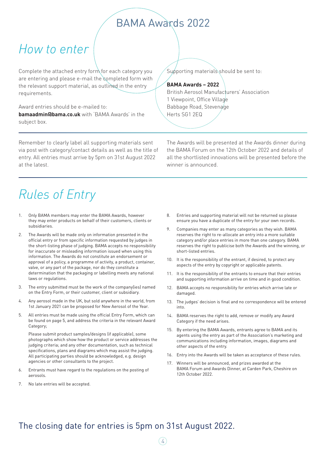# *How to enter*

Complete the attached entry form for each category you are entering and please e-mail the completed form with the relevant support material, as outlined in the entry requirements.

Award entries should be e-mailed to: **bamaadmin@bama.co.uk** with 'BAMA Awards' in the subject box.

Remember to clearly label all supporting materials sent via post with category/contact details as well as the title of entry. All entries must arrive by 5pm on 31st August 2022 at the latest.

Supporting materials should be sent to:

#### **BAMA Awards – 2022**

British Aerosol Manufacturers' Association 1 Viewpoint, Office Village Babbage Road, Stevenage Herts SG1 2EQ

The Awards will be presented at the Awards dinner during the BAMA Forum on the 12th October 2022 and details of all the shortlisted innovations will be presented before the winner is announced.

# *Rules of Entry*

- 1. Only BAMA members may enter the BAMA Awards, however they may enter products on behalf of their customers, clients or subsidiaries.
- 2. The Awards will be made only on information presented in the official entry or from specific information requested by judges in the short-listing phase of judging. BAMA accepts no responsibility for inaccurate or misleading information issued when using this information. The Awards do not constitute an endorsement or approval of a policy, a programme of activity, a product, container, valve, or any part of the package, nor do they constitute a determination that the packaging or labelling meets any national laws or regulations.
- 3. The entry submitted must be the work of the company(ies) named on the Entry Form, or their customer, client or subsidiary.
- 4. Any aerosol made in the UK, but sold anywhere in the world, from 1st January 2021 can be proposed for New Aerosol of the Year.
- 5. All entries must be made using the official Entry Form, which can be found on page 5, and address the criteria in the relevant Award Category;

Please submit product samples/designs (if applicable), some photographs which show how the product or service addresses the judging criteria; and any other documentation, such as technical specifications, plans and diagrams which may assist the judging. All participating parties should be acknowledged, e.g. design agencies or other consultants to the project.

- 6. Entrants must have regard to the regulations on the posting of aerosols.
- 7. No late entries will be accepted.
- 8. Entries and supporting material will not be returned so please ensure you have a duplicate of the entry for your own records.
- 9. Companies may enter as many categories as they wish. BAMA reserves the right to re-allocate an entry into a more suitable category and/or place entries in more than one category. BAMA reserves the right to publicise both the Awards and the winning, or short-listed entries.
- 10. It is the responsibility of the entrant, if desired, to protect any aspects of the entry by copyright or applicable patents.
- 11. It is the responsibility of the entrants to ensure that their entries and supporting information arrive on time and in good condition.
- 12. BAMA accepts no responsibility for entries which arrive late or damaged.
- 13. The judges' decision is final and no correspondence will be entered into.
- 14. BAMA reserves the right to add, remove or modify any Award Category if the need arises.
- 15. By entering the BAMA Awards, entrants agree to BAMA and its agents using the entry as part of the Association's marketing and communications including information, images, diagrams and other aspects of the entry.
- 16. Entry into the Awards will be taken as acceptance of these rules.
- 17. Winners will be announced, and prizes awarded at the BAMA Forum and Awards Dinner, at Carden Park, Cheshire on 12th October 2022.

#### The closing date for entries is 5pm on 31st August 2022.

4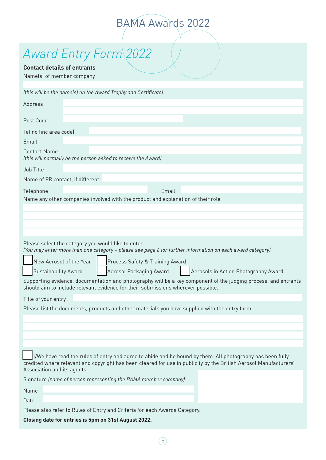# *Award Entry Form 2022*

#### **Contact details of entrants**

Name(s) of member company

| (this will be the name(s) on the Award Trophy and Certificate)                                                                                                                                                                                                                                                                                                                                                                                                                                                                         |
|----------------------------------------------------------------------------------------------------------------------------------------------------------------------------------------------------------------------------------------------------------------------------------------------------------------------------------------------------------------------------------------------------------------------------------------------------------------------------------------------------------------------------------------|
| Address                                                                                                                                                                                                                                                                                                                                                                                                                                                                                                                                |
| Post Code                                                                                                                                                                                                                                                                                                                                                                                                                                                                                                                              |
| Tel no (inc area code)<br>Email                                                                                                                                                                                                                                                                                                                                                                                                                                                                                                        |
| <b>Contact Name</b><br>(this will normally be the person asked to receive the Award)                                                                                                                                                                                                                                                                                                                                                                                                                                                   |
| Job Title                                                                                                                                                                                                                                                                                                                                                                                                                                                                                                                              |
| Name of PR contact, if different                                                                                                                                                                                                                                                                                                                                                                                                                                                                                                       |
| Telephone<br>Email                                                                                                                                                                                                                                                                                                                                                                                                                                                                                                                     |
| Name any other companies involved with the product and explanation of their role                                                                                                                                                                                                                                                                                                                                                                                                                                                       |
|                                                                                                                                                                                                                                                                                                                                                                                                                                                                                                                                        |
|                                                                                                                                                                                                                                                                                                                                                                                                                                                                                                                                        |
|                                                                                                                                                                                                                                                                                                                                                                                                                                                                                                                                        |
| Please select the category you would like to enter<br>(You may enter more than one category - please see page 6 for further information on each award category)<br>New Aerosol of the Year<br>Process Safety & Training Award<br><b>Sustainability Award</b><br>Aerosol Packaging Award<br>Aerosols in Action Photography Award<br>Supporting evidence, documentation and photography will be a key component of the judging process, and entrants<br>should aim to include relevant evidence for their submissions wherever possible. |
| Title of your entry                                                                                                                                                                                                                                                                                                                                                                                                                                                                                                                    |
| Please list the documents, products and other materials you have supplied with the entry form                                                                                                                                                                                                                                                                                                                                                                                                                                          |
|                                                                                                                                                                                                                                                                                                                                                                                                                                                                                                                                        |
| I/We have read the rules of entry and agree to abide and be bound by them. All photography has been fully<br>credited where relevant and copyright has been cleared for use in publicity by the British Aerosol Manufacturers'<br>Association and its agents.                                                                                                                                                                                                                                                                          |
| Signature (name of person representing the BAMA member company):                                                                                                                                                                                                                                                                                                                                                                                                                                                                       |
| Name                                                                                                                                                                                                                                                                                                                                                                                                                                                                                                                                   |
| Date                                                                                                                                                                                                                                                                                                                                                                                                                                                                                                                                   |
| Please also refer to Rules of Entry and Criteria for each Awards Category.                                                                                                                                                                                                                                                                                                                                                                                                                                                             |
| Closing date for entries is 5pm on 31st August 2022.                                                                                                                                                                                                                                                                                                                                                                                                                                                                                   |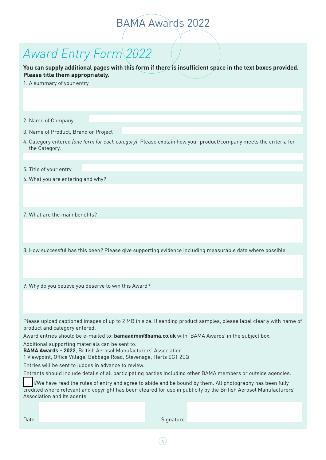# *Award Entry Form 2022*

**You can supply additional pages with this form if there is insufficient space in the text boxes provided. Please title them appropriately.** 

1. A summary of your entry

2. Name of Company

- 3. Name of Product, Brand or Project
- 4. Category entered *(one form for each category)*. Please explain how your product/company meets the criteria for the Category.
- 5. Title of your entry
- 6. What you are entering and why?

7. What are the main benefits?

8. How successful has this been? Please give supporting evidence including measurable data where possible

9. Why do you believe you deserve to win this Award?

Please upload captioned images of up to 2 MB in size. If sending product samples, please label clearly with name of product and category entered.

Award entries should be e-mailed to: **bamaadmin@bama.co.uk** with 'BAMA Awards' in the subject box.

Additional supporting materials can be sent to:

**BAMA Awards – 2022**, British Aerosol Manufacturers' Association

1 Viewpoint, Office Village, Babbage Road, Stevenage, Herts SG1 2EQ

Entries will be sent to judges in advance to review.

Entrants should include details of all participating parties including other BAMA members or outside agencies.

 I/We have read the rules of entry and agree to abide and be bound by them. All photography has been fully credited where relevant and copyright has been cleared for use in publicity by the British Aerosol Manufacturers' Association and its agents.

 $(6)$ 

Date Signature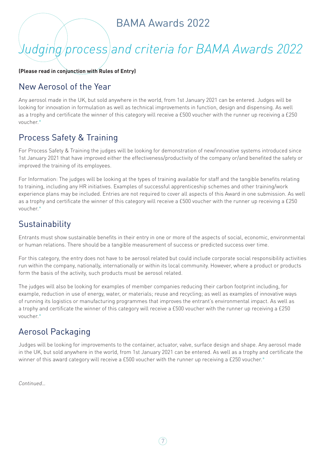# *Judging process and criteria for BAMA Awards 2022*

**(Please read in conjunction with Rules of Entry)** 

#### New Aerosol of the Year

Any aerosol made in the UK, but sold anywhere in the world, from 1st January 2021 can be entered. Judges will be looking for innovation in formulation as well as technical improvements in function, design and dispensing. As well as a trophy and certificate the winner of this category will receive a £500 voucher with the runner up receiving a £250 voucher.\*

#### Process Safety & Training

For Process Safety & Training the judges will be looking for demonstration of new/innovative systems introduced since 1st January 2021 that have improved either the effectiveness/productivity of the company or/and benefited the safety or improved the training of its employees.

For Information: The judges will be looking at the types of training available for staff and the tangible benefits relating to training, including any HR initiatives. Examples of successful apprenticeship schemes and other training/work experience plans may be included. Entries are not required to cover all aspects of this Award in one submission. As well as a trophy and certificate the winner of this category will receive a £500 voucher with the runner up receiving a £250 voucher.\*

#### **Sustainability**

Entrants must show sustainable benefits in their entry in one or more of the aspects of social, economic, environmental or human relations. There should be a tangible measurement of success or predicted success over time.

For this category, the entry does not have to be aerosol related but could include corporate social responsibility activities run within the company, nationally, internationally or within its local community. However, where a product or products form the basis of the activity, such products must be aerosol related.

The judges will also be looking for examples of member companies reducing their carbon footprint including, for example, reduction in use of energy, water, or materials; reuse and recycling; as well as examples of innovative ways of running its logistics or manufacturing programmes that improves the entrant's environmental impact. As well as a trophy and certificate the winner of this category will receive a £500 voucher with the runner up receiving a £250 voucher.\*

### Aerosol Packaging

Judges will be looking for improvements to the container, actuator, valve, surface design and shape. Any aerosol made in the UK, but sold anywhere in the world, from 1st January 2021 can be entered. As well as a trophy and certificate the winner of this award category will receive a £500 voucher with the runner up receiving a £250 voucher.\*

*Continued…*

 $(7)$